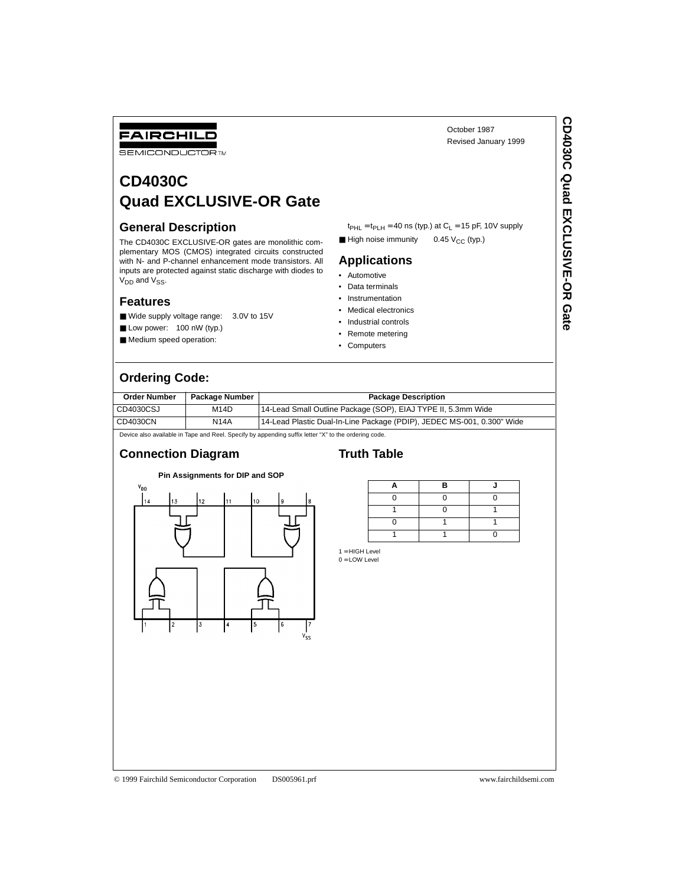# FAIRCHILD

**SEMICONDUCTOR TM** 

# **CD4030C Quad EXCLUSIVE-OR Gate**

#### **General Description**

The CD4030C EXCLUSIVE-OR gates are monolithic complementary MOS (CMOS) integrated circuits constructed with N- and P-channel enhancement mode transistors. All inputs are protected against static discharge with diodes to  $V_{DD}$  and  $V_{SS}$ .

#### **Features**

- Wide supply voltage range: 3.0V to 15V
- Low power: 100 nW (typ.)
- Medium speed operation:

## **Ordering Code:**

**Order Number Package Number | Package Description** CD4030CSJ M14D 14-Lead Small Outline Package (SOP), EIAJ TYPE II, 5.3mm Wide CD4030CN N14A 14-Lead Plastic Dual-In-Line Package (PDIP), JEDEC MS-001, 0.300" Wide

Device also available in Tape and Reel. Specify by appending suffix letter "X" to the ordering code

#### **Connection Diagram**

### **Truth Table**

| Pin Assignments for DIP and SOP |             |    |                |    |                                          |  |  |  |
|---------------------------------|-------------|----|----------------|----|------------------------------------------|--|--|--|
| V <sub>DD</sub>                 |             |    |                |    |                                          |  |  |  |
| 14                              | 13          | 12 | 11             | 10 | g<br>8                                   |  |  |  |
|                                 |             |    |                |    |                                          |  |  |  |
|                                 |             |    |                |    |                                          |  |  |  |
|                                 | $\mathbf 2$ | 3  | $\overline{4}$ | 5  | $\boldsymbol{6}$<br>7<br>V <sub>SS</sub> |  |  |  |

|  | в |  |
|--|---|--|
|  |   |  |
|  |   |  |
|  |   |  |
|  |   |  |

 $t_{PHL} = t_{PLH} = 40$  ns (typ.) at  $C_L = 15$  pF, 10V supply

**■ High noise immunity** 0.45  $V_{CC}$  (typ.)

**Applications** • Automotive • Data terminals • Instrumentation • Medical electronics • Industrial controls • Remote metering • Computers

1 = HIGH Level  $0 =$  LOW Level

October 1987 Revised January 1999

© 1999 Fairchild Semiconductor Corporation DS005961.prf www.fairchildsemi.com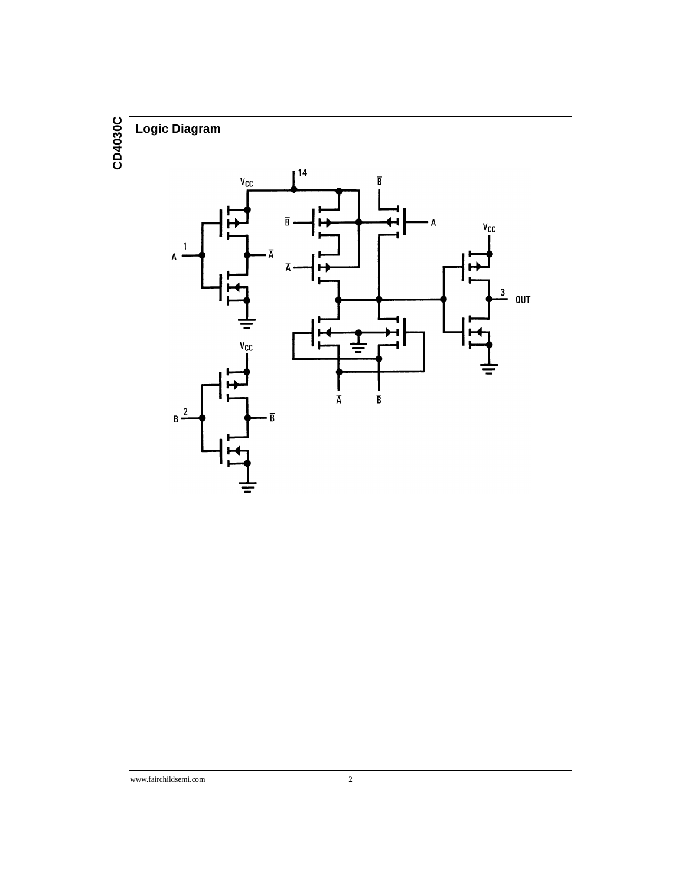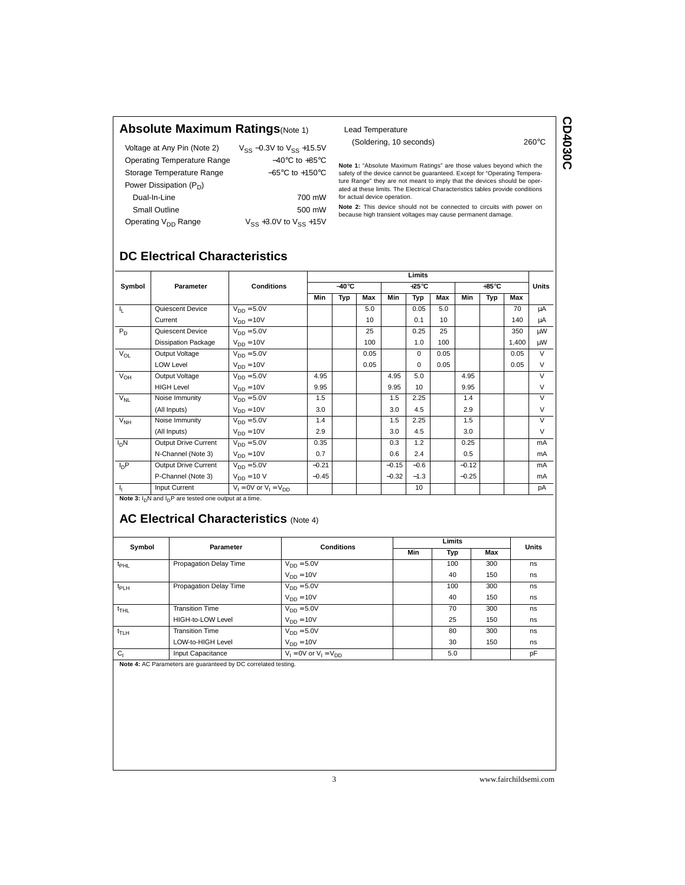#### **Absolute Maximum Ratings**(Note 1)

| Voltage at Any Pin (Note 2)        | $V_{SS}$ –0.3V to $V_{SS}$ +15.5V   |
|------------------------------------|-------------------------------------|
| <b>Operating Temperature Range</b> | $-40^{\circ}$ C to $+85^{\circ}$ C  |
| Storage Temperature Range          | $-65^{\circ}$ C to $+150^{\circ}$ C |
| Power Dissipation $(P_D)$          |                                     |
| Dual-In-Line                       | 700 mW                              |
| Small Outline                      | 500 mW                              |
| Operating V <sub>DD</sub> Range    | $V_{SS}$ +3.0V to $V_{SS}$ +15V     |

#### Lead Temperature

(Soldering, 10 seconds) 260°C

CD4030C **CD4030C** 

**Note 1:** "Absolute Maximum Ratings" are those values beyond which the safety of the device cannot be guaranteed. Except for "Operating Tempera-<br>ture Range" they are not meant to imply that the devices should be oper-<br>ated at these limits. The Electrical Characteristics tables provide conditi for actual device operation.

**Note 2:** This device should not be connected to circuits with power on because high transient voltages may cause permanent damage.

# **DC Electrical Characteristics**

|                 |                             | <b>Conditions</b>            | Limits        |     |      |                 |                 |      |                 |     |       |              |
|-----------------|-----------------------------|------------------------------|---------------|-----|------|-----------------|-----------------|------|-----------------|-----|-------|--------------|
| Symbol          | Parameter                   |                              | $-40^\circ C$ |     |      | $+25^{\circ}$ C |                 |      | $+85^{\circ}$ C |     |       | <b>Units</b> |
|                 |                             |                              | Min           | Typ | Max  | Min             | Typ             | Max  | Min             | Typ | Max   |              |
| 4.              | Quiescent Device            | $V_{DD} = 5.0V$              |               |     | 5.0  |                 | 0.05            | 5.0  |                 |     | 70    | μA           |
|                 | Current                     | $V_{DD} = 10V$               |               |     | 10   |                 | 0.1             | 10   |                 |     | 140   | μA           |
| $P_D$           | Quiescent Device            | $V_{DD} = 5.0V$              |               |     | 25   |                 | 0.25            | 25   |                 |     | 350   | μW           |
|                 | <b>Dissipation Package</b>  | $V_{DD} = 10V$               |               |     | 100  |                 | 1.0             | 100  |                 |     | 1,400 | μW           |
| $V_{OL}$        | Output Voltage              | $V_{DD} = 5.0V$              |               |     | 0.05 |                 | $\Omega$        | 0.05 |                 |     | 0.05  | $\vee$       |
|                 | <b>LOW Level</b>            | $V_{DD} = 10V$               |               |     | 0.05 |                 | $\Omega$        | 0.05 |                 |     | 0.05  | $\vee$       |
| $V_{OH}$        | Output Voltage              | $V_{DD} = 5.0V$              | 4.95          |     |      | 4.95            | 5.0             |      | 4.95            |     |       | $\vee$       |
|                 | <b>HIGH Level</b>           | $V_{DD} = 10V$               | 9.95          |     |      | 9.95            | 10 <sup>1</sup> |      | 9.95            |     |       | $\vee$       |
| $V_{NL}$        | Noise Immunity              | $V_{DD} = 5.0V$              | 1.5           |     |      | 1.5             | 2.25            |      | 1.4             |     |       | $\vee$       |
|                 | (All Inputs)                | $V_{DD} = 10V$               | 3.0           |     |      | 3.0             | 4.5             |      | 2.9             |     |       | $\vee$       |
| V <sub>NH</sub> | Noise Immunity              | $V_{DD} = 5.0V$              | 1.4           |     |      | 1.5             | 2.25            |      | 1.5             |     |       | $\vee$       |
|                 | (All Inputs)                | $V_{DD} = 10V$               | 2.9           |     |      | 3.0             | 4.5             |      | 3.0             |     |       | $\vee$       |
| $I_DN$          | <b>Output Drive Current</b> | $V_{DD} = 5.0V$              | 0.35          |     |      | 0.3             | 1.2             |      | 0.25            |     |       | mA           |
|                 | N-Channel (Note 3)          | $V_{DD} = 10V$               | 0.7           |     |      | 0.6             | 2.4             |      | 0.5             |     |       | mA           |
| $I_{D}P$        | Output Drive Current        | $V_{DD} = 5.0V$              | $-0.21$       |     |      | $-0.15$         | $-0.6$          |      | $-0.12$         |     |       | mA           |
|                 | P-Channel (Note 3)          | $V_{DD} = 10 V$              | $-0.45$       |     |      | $-0.32$         | $-1.3$          |      | $-0.25$         |     |       | mA           |
| 4               | Input Current               | $V_1 = 0V$ or $V_1 = V_{DD}$ |               |     |      |                 | 10              |      |                 |     |       | pA           |

**Note 3:**  $I_D$ N and  $I_D$ P are tested one output at a time.

# **AC Electrical Characteristics (Note 4)**

| Symbol           | Parameter              | <b>Conditions</b>            |     | <b>Units</b> |     |     |  |
|------------------|------------------------|------------------------------|-----|--------------|-----|-----|--|
|                  |                        |                              | Min | Typ<br>Max   |     |     |  |
| t <sub>PHL</sub> | Propagation Delay Time | $V_{DD} = 5.0V$              |     | 100          | 300 | ns. |  |
|                  |                        | $V_{DD} = 10V$               |     | 40           | 150 | ns  |  |
| t <sub>PLH</sub> | Propagation Delay Time | $V_{DD} = 5.0V$              |     | 100          | 300 | ns  |  |
|                  |                        | $V_{DD} = 10V$               |     | 40           | 150 | ns  |  |
| $t_{THL}$        | <b>Transition Time</b> | $V_{DD} = 5.0V$              |     | 70           | 300 | ns  |  |
|                  | HIGH-to-LOW Level      | $V_{DD} = 10V$               |     | 25           | 150 | ns  |  |
| $t_{TLH}$        | <b>Transition Time</b> | $V_{DD} = 5.0V$              |     | 80           | 300 | ns  |  |
|                  | LOW-to-HIGH Level      | $V_{DD} = 10V$               |     | 30           | 150 | ns  |  |
| C <sub>1</sub>   | Input Capacitance      | $V_1 = 0V$ or $V_1 = V_{DD}$ |     | 5.0          |     | pF  |  |

**Note 4:** AC Parameters are guaranteed by DC correlated testing.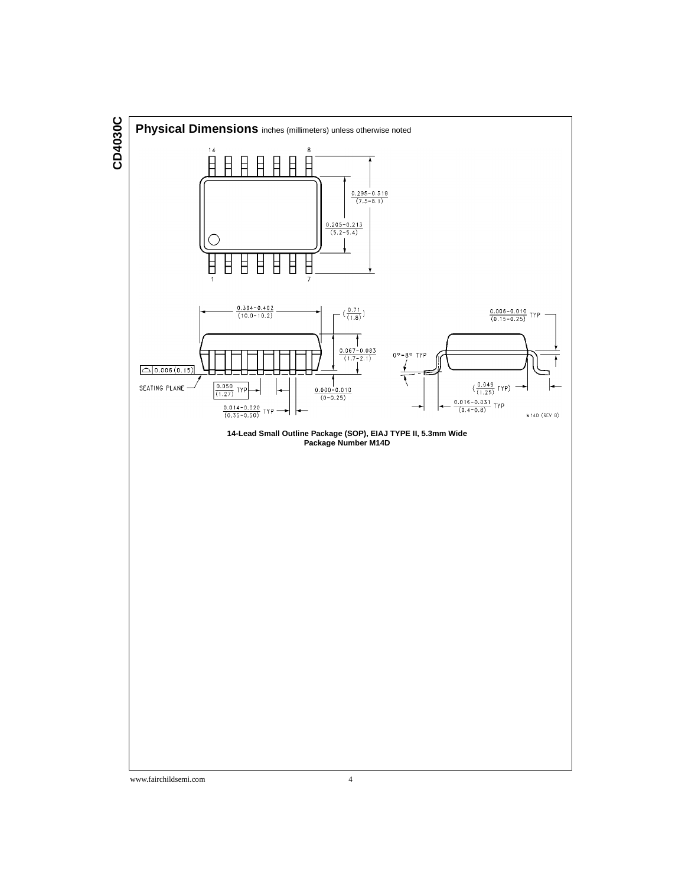